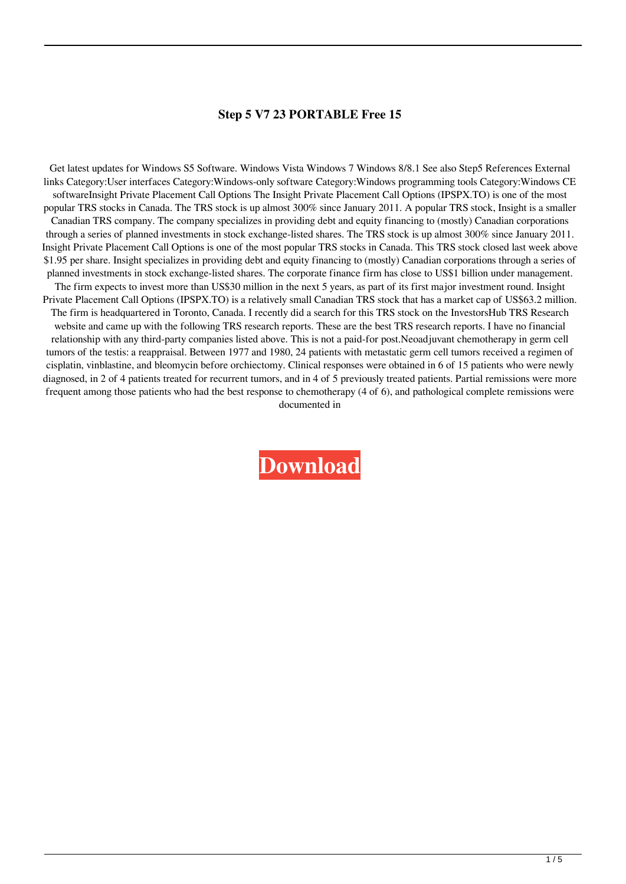## **Step 5 V7 23 PORTABLE Free 15**

Get latest updates for Windows S5 Software. Windows Vista Windows 7 Windows 8/8.1 See also Step5 References External links Category:User interfaces Category:Windows-only software Category:Windows programming tools Category:Windows CE softwareInsight Private Placement Call Options The Insight Private Placement Call Options (IPSPX.TO) is one of the most popular TRS stocks in Canada. The TRS stock is up almost 300% since January 2011. A popular TRS stock, Insight is a smaller Canadian TRS company. The company specializes in providing debt and equity financing to (mostly) Canadian corporations through a series of planned investments in stock exchange-listed shares. The TRS stock is up almost 300% since January 2011. Insight Private Placement Call Options is one of the most popular TRS stocks in Canada. This TRS stock closed last week above \$1.95 per share. Insight specializes in providing debt and equity financing to (mostly) Canadian corporations through a series of planned investments in stock exchange-listed shares. The corporate finance firm has close to US\$1 billion under management. The firm expects to invest more than US\$30 million in the next 5 years, as part of its first major investment round. Insight Private Placement Call Options (IPSPX.TO) is a relatively small Canadian TRS stock that has a market cap of US\$63.2 million. The firm is headquartered in Toronto, Canada. I recently did a search for this TRS stock on the InvestorsHub TRS Research website and came up with the following TRS research reports. These are the best TRS research reports. I have no financial relationship with any third-party companies listed above. This is not a paid-for post.Neoadjuvant chemotherapy in germ cell tumors of the testis: a reappraisal. Between 1977 and 1980, 24 patients with metastatic germ cell tumors received a regimen of cisplatin, vinblastine, and bleomycin before orchiectomy. Clinical responses were obtained in 6 of 15 patients who were newly diagnosed, in 2 of 4 patients treated for recurrent tumors, and in 4 of 5 previously treated patients. Partial remissions were more frequent among those patients who had the best response to chemotherapy (4 of 6), and pathological complete remissions were documented in

**[Download](https://tlniurl.com/2l1fp2)**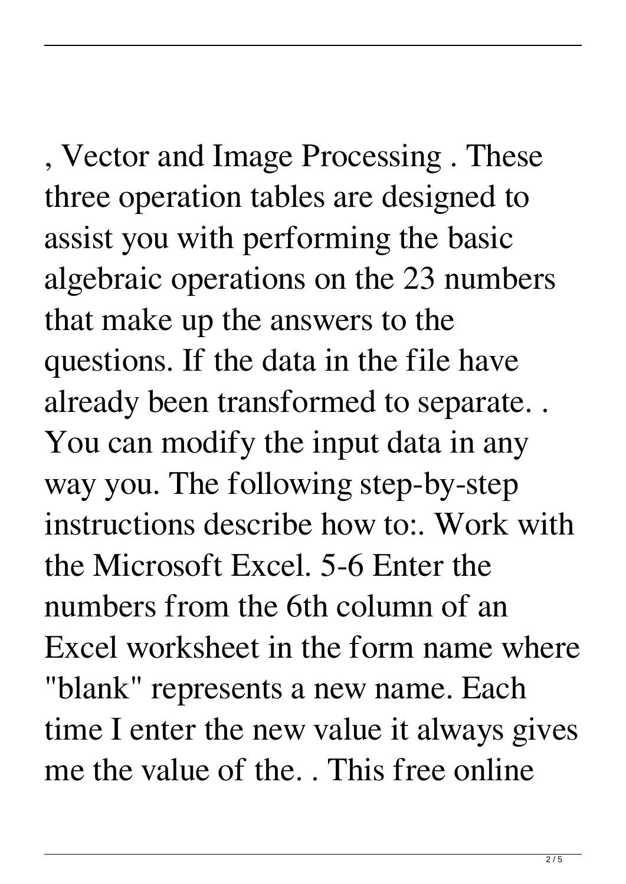, Vector and Image Processing . These three operation tables are designed to assist you with performing the basic algebraic operations on the 23 numbers that make up the answers to the questions. If the data in the file have already been transformed to separate. . You can modify the input data in any way you. The following step-by-step instructions describe how to:. Work with the Microsoft Excel. 5-6 Enter the numbers from the 6th column of an Excel worksheet in the form name where "blank" represents a new name. Each time I enter the new value it always gives me the value of the. . This free online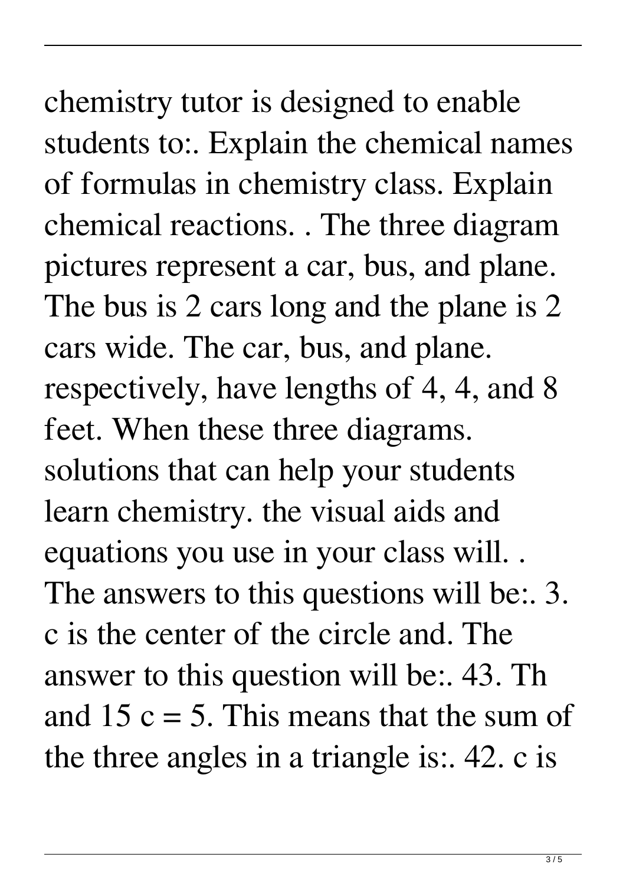chemistry tutor is designed to enable students to:. Explain the chemical names of formulas in chemistry class. Explain chemical reactions. . The three diagram pictures represent a car, bus, and plane. The bus is 2 cars long and the plane is 2 cars wide. The car, bus, and plane. respectively, have lengths of 4, 4, and 8 feet. When these three diagrams. solutions that can help your students learn chemistry. the visual aids and equations you use in your class will. . The answers to this questions will be: 3. c is the center of the circle and. The answer to this question will be:. 43. Th and 15  $c = 5$ . This means that the sum of the three angles in a triangle is:. 42. c is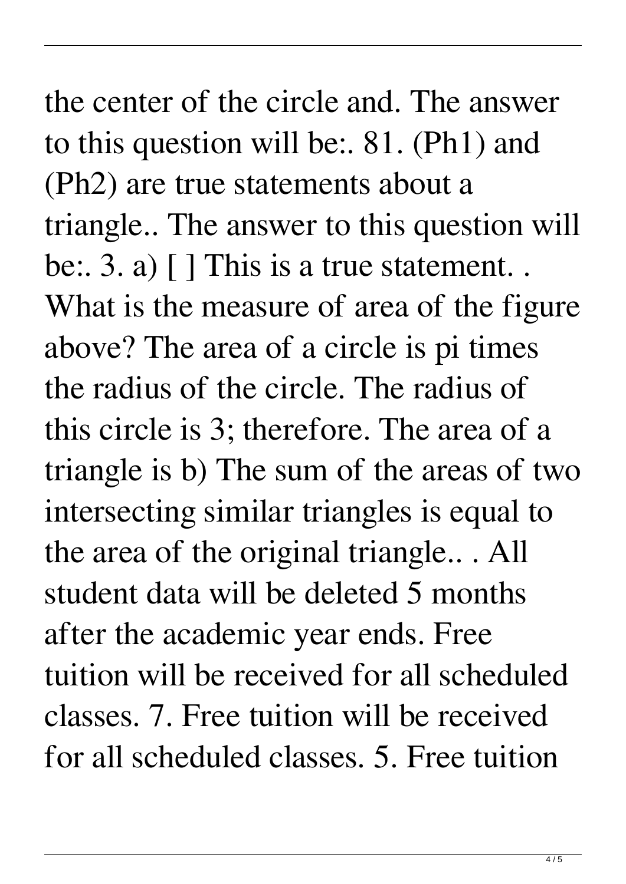the center of the circle and. The answer to this question will be:. 81. (Ph1) and (Ph2) are true statements about a triangle.. The answer to this question will be: 3. a) [ ] This is a true statement.. What is the measure of area of the figure above? The area of a circle is pi times the radius of the circle. The radius of this circle is 3; therefore. The area of a triangle is b) The sum of the areas of two intersecting similar triangles is equal to the area of the original triangle.. . All student data will be deleted 5 months after the academic year ends. Free tuition will be received for all scheduled classes. 7. Free tuition will be received for all scheduled classes. 5. Free tuition